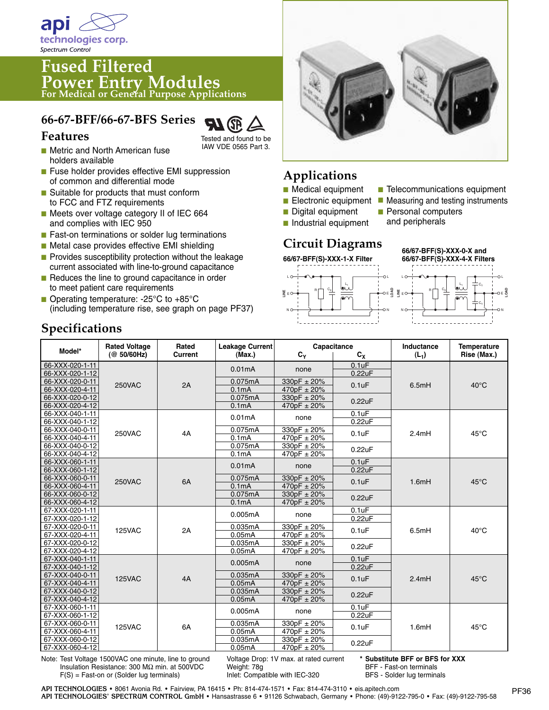

# **Fused Filtered Power Entry Modules For Medical or General Purpose Applications**

## **66-67-BFF/66-67-BFS Series**



Tested and found to be IAW VDE 0565 Part 3.

- Metric and North American fuse holders available
- Fuse holder provides effective EMI suppression of common and differential mode
- Suitable for products that must conform to FCC and FTZ requirements
- Meets over voltage category II of IEC 664 and complies with IEC 950
- Fast-on terminations or solder lug terminations
- Metal case provides effective EMI shielding
- **■** Provides susceptibility protection without the leakage current associated with line-to-ground capacitance
- Reduces the line to ground capacitance in order to meet patient care requirements
- Operating temperature: -25<sup>°</sup>C to +85<sup>°</sup>C (including temperature rise, see graph on page PF37)



## **Applications**

- **■** Medical equipment
- Electronic equipment
- Digital equipment
- Industrial equipment
- Telecommunications equipment
- Measuring and testing instruments ■ Personal computers
- and peripherals

## **Circuit Diagrams**

**66/67-BFF(S)-XXX-1-X Filter**



L N L N EO━♦━━┐ │ │ <del>ೢ</del> \_\_\_ ♦━♦━●○E **LOAD LINE LOAD** R广 <sup>C</sup>x  $\mathsf{L}_1$   $\mathsf{l}$   $\rightleftharpoons$  C<sub>Y</sub> C<sub>Y</sub> **66/67-BFF(S)-XXX-0-X and 66/67-BFF(S)-XXX-4-X Filters**

### **Model\* Rated Voltage Rated Leakage Current Capacitance Inductance Temperature (@ 50/60Hz) Current (Max.) CY CX (L1) Rise (Max.)** 66-XXX-020-1-11 66-XXX-020-1-12 66-XXX-020-0-11 66-XXX-020-4-11 66-XXX-020-0-12 66-XXX-020-4-12 66-XXX-040-1-11 66-XXX-040-1-12 66-XXX-040-0-11 66-XXX-040-4-11 66-XXX-040-0-12 66-XXX-040-4-12 66-XXX-060-1-11 66-XXX-060-1-12 66-XXX-060-0-11 66-XXX-060-4-11 66-XXX-060-0-12 66-XXX-060-4-12 67-XXX-020-1-11 67-XXX-020-1-12 67-XXX-020-0-11 67-XXX-020-4-11 67-XXX-020-0-12 67-XXX-020-4-12 67-XXX-040-1-11 67-XXX-040-1-12 67-XXX-040-0-11 67-XXX-040-4-11 67-XXX-040-0-12 67-XXX-040-4-12 67-XXX-060-1-11 67-XXX-060-1-12 67-XXX-060-0-11 67-XXX-060-4-11 67-XXX-060-0-12 67-XXX-060-4-12 250VAC 2A  $\frac{0.01000}{0.1000} + \frac{25000}{4700} = 0.1$ uF 6.5mH 40°C 2.4mH 1.6mH 6.5mH 2.4mH 1.6mH 45°C  $45^{\circ}$ C 40°C  $45^{\circ}$ C 45°C 0.01mA | none none none none none none 0.1mA  $0.1<sub>m</sub>A$ 0.075mA 0.22uF 0.1uF 0.1uF 0.22uF 0.22uF 0.1uF 0.1uF 0.22uF 0.22uF 0.1uF 0.1uF 0.22uF 0.22uF 0.1uF 0.1uF 0.22uF 0.22uF  $0.1uF$ 0.1uF 0.22uF 0.22uF 0.1uF 0.1uF 0.22uF 330pF ± 20%  $470pF \pm 20%$ 330pF ± 20%  $470pF \pm 20%$  $330pF \pm 20%$  $470pF \pm 20%$  $330pF \pm 20%$ 470pF ± 20% 330pF ± 20%  $470pF \pm 20%$  $330pF \pm 20%$ 470pF ± 20% 330pF ± 20%  $470pF \pm 20%$ 330pF ± 20%  $470pF \pm 20%$  $330pF \pm 20%$ 470pF ± 20%  $330pF \pm 20%$ 470pF ± 20% 330pF ± 20%  $470pF \pm 20%$ 330pF ± 20% 470pF ± 20% 0.075mA 0.01mA 0.1mA 0.1mA 0.075mA 0.075mA 0.01mA  $0.1<sub>m</sub>A$ 0.1mA 0.075mA 0.075mA 0.005mA 0.05mA 0.05mA 0.035mA 0.035mA 0.005mA 0.05mA 0.05mA 0.035mA 0.035mA 0.005mA 0.05mA 0.05mA 0.035mA 0.035mA 4A 6A 2A 4A 6A 250VAC 250VAC 125VAC 125VAC 125VAC

Note: Test Voltage 1500VAC one minute, line to ground Insulation Resistance: 300 MΩ min. at 500VDC F(S) = Fast-on or (Solder lug terminals)

Voltage Drop: 1V max. at rated current Weight: 78g Inlet: Compatible with IEC-320

**\* Substitute BFF or BFS for XXX** BFF - Fast-on terminals BFS - Solder lug terminals

### **Specifications**